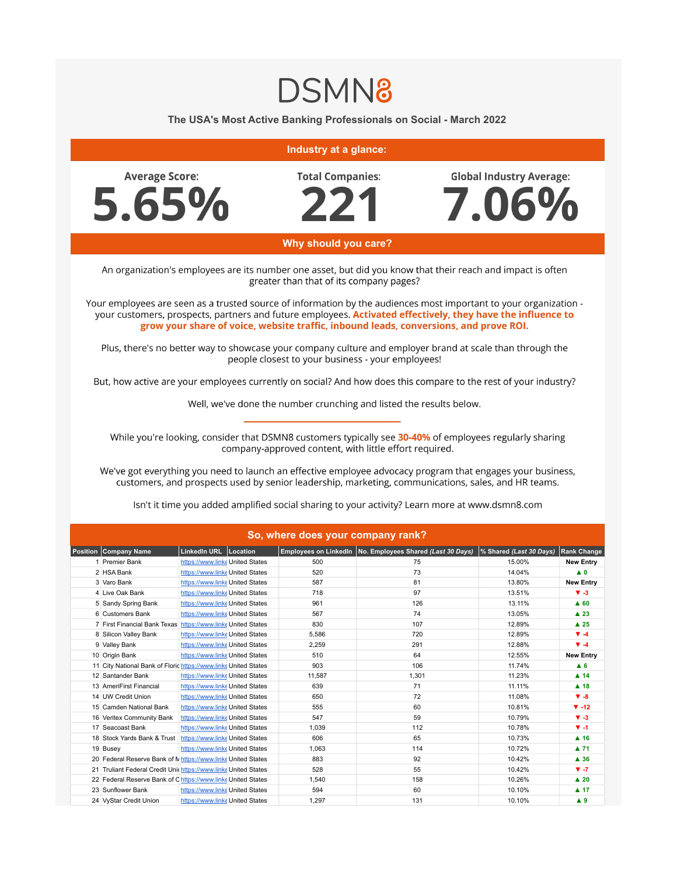## **DSMN8**

## The USA's Most Active Banking Professionals on Social - March 2022

## Industry at a glance:

**Average Score:** 5.65% **Total Companies:** 

**Global Industry Average:** 



Why should you care?

An organization's employees are its number one asset, but did you know that their reach and impact is often greater than that of its company pages?

Your employees are seen as a trusted source of information by the audiences most important to your organization your customers, prospects, partners and future employees. Activated effectively, they have the influence to grow your share of voice, website traffic, inbound leads, conversions, and prove ROI.

Plus, there's no better way to showcase your company culture and employer brand at scale than through the people closest to your business - your employees!

But, how active are your employees currently on social? And how does this compare to the rest of your industry?

Well, we've done the number crunching and listed the results below.

While you're looking, consider that DSMN8 customers typically see 30-40% of employees regularly sharing company-approved content, with little effort required.

We've got everything you need to launch an effective employee advocacy program that engages your business, customers, and prospects used by senior leadership, marketing, communications, sales, and HR teams.

| So, where does your company rank? |                                                                 |                                 |  |        |                                                             |                         |                     |  |
|-----------------------------------|-----------------------------------------------------------------|---------------------------------|--|--------|-------------------------------------------------------------|-------------------------|---------------------|--|
|                                   | <b>Position   Company Name</b>                                  | LinkedIn URL Location           |  |        | Employees on LinkedIn   No. Employees Shared (Last 30 Days) | % Shared (Last 30 Days) | <b>Rank Change</b>  |  |
|                                   | 1 Premier Bank                                                  | https://www.linke United States |  | 500    | 75                                                          | 15.00%                  | <b>New Entry</b>    |  |
|                                   | 2 HSA Bank                                                      | https://www.linke United States |  | 520    | 73                                                          | 14.04%                  | $\blacktriangle$ 0  |  |
|                                   | 3 Varo Bank                                                     | https://www.linke United States |  | 587    | 81                                                          | 13.80%                  | <b>New Entry</b>    |  |
|                                   | 4 Live Oak Bank                                                 | https://www.linke United States |  | 718    | 97                                                          | 13.51%                  | $V - 3$             |  |
|                                   | 5 Sandy Spring Bank                                             | https://www.linke United States |  | 961    | 126                                                         | 13.11%                  | $\triangle$ 60      |  |
|                                   | 6 Customers Bank                                                | https://www.linke United States |  | 567    | 74                                                          | 13.05%                  | $\blacktriangle$ 23 |  |
|                                   | 7 First Financial Bank Texas                                    | https://www.linke United States |  | 830    | 107                                                         | 12.89%                  | $\triangle$ 25      |  |
|                                   | 8 Silicon Valley Bank                                           | https://www.linke United States |  | 5,586  | 720                                                         | 12.89%                  | $\Psi - 4$          |  |
|                                   | 9 Valley Bank                                                   | https://www.linke United States |  | 2,259  | 291                                                         | 12.88%                  | $\Psi - 4$          |  |
|                                   | 10 Origin Bank                                                  | https://www.linke United States |  | 510    | 64                                                          | 12.55%                  | <b>New Entry</b>    |  |
|                                   | 11 City National Bank of Floric https://www.linke United States |                                 |  | 903    | 106                                                         | 11.74%                  | A <sub>6</sub>      |  |
|                                   | 12 Santander Bank                                               | https://www.linke United States |  | 11,587 | 1,301                                                       | 11.23%                  | $\blacktriangle$ 14 |  |
|                                   | 13 AmeriFirst Financial                                         | https://www.linke United States |  | 639    | 71                                                          | 11.11%                  | $A$ 18              |  |
|                                   | 14 UW Credit Union                                              | https://www.linke United States |  | 650    | 72                                                          | 11.08%                  | $\Psi - 8$          |  |
|                                   | 15 Camden National Bank                                         | https://www.linke United States |  | 555    | 60                                                          | 10.81%                  | $\Psi - 12$         |  |
|                                   | 16 Veritex Community Bank                                       | https://www.linke United States |  | 547    | 59                                                          | 10.79%                  | $V - 3$             |  |
|                                   | 17 Seacoast Bank                                                | https://www.linke United States |  | 1,039  | 112                                                         | 10.78%                  | $V - 1$             |  |
|                                   | 18 Stock Yards Bank & Trust                                     | https://www.linke United States |  | 606    | 65                                                          | 10.73%                  | $A$ 16              |  |
|                                   | 19 Busey                                                        | https://www.linke United States |  | 1,063  | 114                                                         | 10.72%                  | $\blacktriangle$ 71 |  |
|                                   | 20 Federal Reserve Bank of N https://www.linke United States    |                                 |  | 883    | 92                                                          | 10.42%                  | $\blacktriangle$ 36 |  |
|                                   | 21 Truliant Federal Credit Unichttps://www.linke United States  |                                 |  | 528    | 55                                                          | 10.42%                  | $V - 7$             |  |
|                                   | 22 Federal Reserve Bank of Chttps://www.linke United States     |                                 |  | 1,540  | 158                                                         | 10.26%                  | $\blacktriangle$ 20 |  |
|                                   | 23 Sunflower Bank                                               | https://www.linke United States |  | 594    | 60                                                          | 10.10%                  | $\blacktriangle$ 17 |  |
|                                   | 24 VyStar Credit Union                                          | https://www.linke United States |  | 1,297  | 131                                                         | 10.10%                  | A9                  |  |

Isn't it time you added amplified social sharing to your activity? Learn more at www.dsmn8.com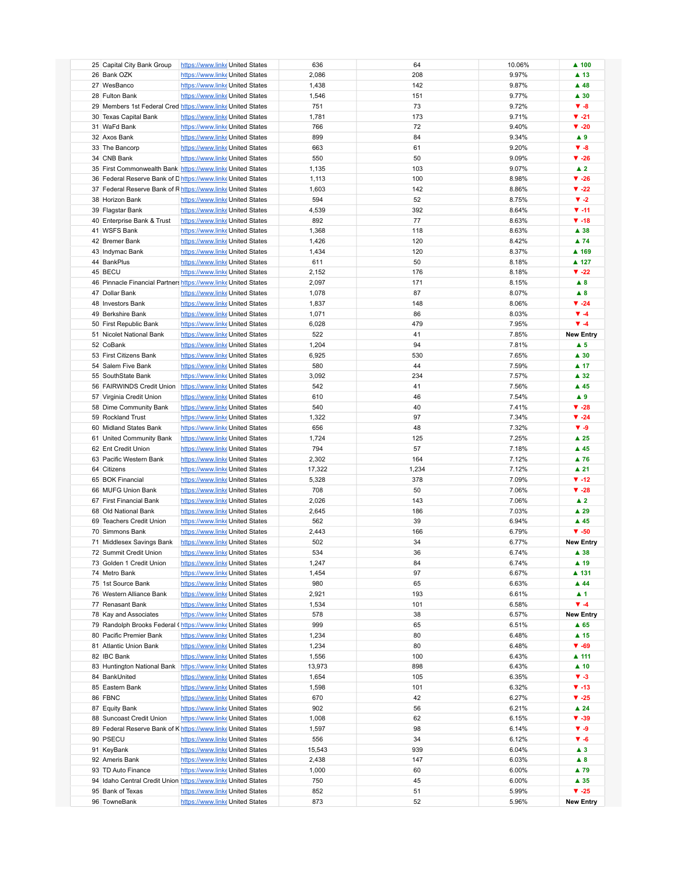| 25 Capital City Bank Group                                     | https://www.linkeUnited States  |  | 636    | 64    | 10.06%         | $\blacktriangle$ 100     |
|----------------------------------------------------------------|---------------------------------|--|--------|-------|----------------|--------------------------|
| 26 Bank OZK                                                    | https://www.linke United States |  | 2,086  | 208   | 9.97%          | $\blacktriangle$ 13      |
| 27 WesBanco                                                    | https://www.linke United States |  | 1,438  | 142   | 9.87%          | $\blacktriangle$ 48      |
| 28 Fulton Bank                                                 | https://www.linke United States |  | 1,546  | 151   | 9.77%          | $\blacktriangle$ 30      |
| 29 Members 1st Federal Cred https://www.linke United States    |                                 |  | 751    | 73    | 9.72%          | $V - 8$                  |
| 30 Texas Capital Bank                                          | https://www.linke United States |  | 1,781  | 173   | 9.71%          | $\Psi -21$               |
| 31 WaFd Bank                                                   | https://www.linke United States |  | 766    | 72    | 9.40%          | $\blacktriangledown$ -20 |
| 32 Axos Bank                                                   | https://www.linke United States |  | 899    | 84    | 9.34%          | A9                       |
|                                                                |                                 |  |        |       |                | $V - 8$                  |
| 33 The Bancorp                                                 | https://www.linke United States |  | 663    | 61    | 9.20%          |                          |
| 34 CNB Bank                                                    | https://www.linke United States |  | 550    | 50    | 9.09%          | $\Psi - 26$              |
| 35 First Commonwealth Bank https://www.linke United States     |                                 |  | 1,135  | 103   | 9.07%          | $\blacktriangle$ 2       |
| 36 Federal Reserve Bank of Dhttps://www.linke United States    |                                 |  | 1,113  | 100   | 8.98%          | $\Psi - 26$              |
| 37 Federal Reserve Bank of Rhttps://www.linke United States    |                                 |  | 1,603  | 142   | 8.86%          | $V - 22$                 |
| 38 Horizon Bank                                                | https://www.linke United States |  | 594    | 52    | 8.75%          | $V - 2$                  |
| 39 Flagstar Bank                                               | https://www.linke United States |  | 4,539  | 392   | 8.64%          | $V - 11$                 |
| 40 Enterprise Bank & Trust                                     | https://www.linke United States |  | 892    | 77    | 8.63%          | $\Psi - 18$              |
| 41 WSFS Bank                                                   | https://www.linke United States |  | 1,368  | 118   | 8.63%          | $\blacktriangle$ 38      |
| 42 Bremer Bank                                                 | https://www.linke United States |  | 1,426  | 120   | 8.42%          | ▲ 74                     |
| 43 Indymac Bank                                                | https://www.linke United States |  | 1,434  | 120   | 8.37%          | ▲ 169                    |
| 44 BankPlus                                                    | https://www.linke United States |  | 611    | 50    | 8.18%          | ▲ 127                    |
| 45 BECU                                                        | https://www.linke United States |  | 2,152  | 176   | 8.18%          | $\Psi - 22$              |
| 46 Pinnacle Financial Partners https://www.linke United States |                                 |  | 2,097  | 171   | 8.15%          | $\triangle$ 8            |
| 47 Dollar Bank                                                 | https://www.linke United States |  | 1,078  | 87    | 8.07%          | $\blacktriangle$ 8       |
| 48 Investors Bank                                              | https://www.linke United States |  | 1,837  | 148   | 8.06%          | $\blacktriangledown$ -24 |
| 49 Berkshire Bank                                              | https://www.linke United States |  | 1,071  | 86    | 8.03%          | $\Psi - 4$               |
| 50 First Republic Bank                                         | https://www.linke United States |  | 6,028  | 479   | 7.95%          | $\Psi - 4$               |
| 51 Nicolet National Bank                                       |                                 |  | 522    | 41    | 7.85%          | <b>New Entry</b>         |
|                                                                | https://www.linke United States |  |        |       |                |                          |
| 52 CoBank                                                      | https://www.linke United States |  | 1,204  | 94    | 7.81%          | $\blacktriangle$ 5       |
| 53 First Citizens Bank                                         | https://www.linke United States |  | 6,925  | 530   | 7.65%          | $\blacktriangle$ 30      |
| 54 Salem Five Bank                                             | https://www.linke United States |  | 580    | 44    | 7.59%          | $\blacktriangle$ 17      |
| 55 SouthState Bank                                             | https://www.linke United States |  | 3,092  | 234   | 7.57%          | $\blacktriangle$ 32      |
| 56 FAIRWINDS Credit Union https://www.linke United States      |                                 |  | 542    | 41    | 7.56%          | $\blacktriangle$ 45      |
| 57 Virginia Credit Union                                       | https://www.linke United States |  | 610    | 46    | 7.54%          | A9                       |
| 58 Dime Community Bank                                         | https://www.linke United States |  | 540    | 40    | 7.41%          | $\Psi - 28$              |
| 59 Rockland Trust                                              | https://www.linke United States |  | 1,322  | 97    | 7.34%          | $\blacktriangledown$ -24 |
| 60 Midland States Bank                                         | https://www.linke United States |  | 656    | 48    | 7.32%          | $\Psi - 9$               |
| 61 United Community Bank                                       | https://www.linke United States |  | 1,724  | 125   | 7.25%          | $\blacktriangle$ 25      |
| 62 Ent Credit Union                                            | https://www.linke United States |  | 794    | 57    | 7.18%          | $\blacktriangle$ 45      |
| 63 Pacific Western Bank                                        | https://www.linke United States |  | 2,302  | 164   | 7.12%          | $\blacktriangle$ 76      |
| 64 Citizens                                                    | https://www.linke United States |  | 17,322 | 1,234 | 7.12%          | $\blacktriangle$ 21      |
| 65 BOK Financial                                               | https://www.linke United States |  | 5,328  | 378   | 7.09%          | $\Psi - 12$              |
| 66 MUFG Union Bank                                             | https://www.linke United States |  | 708    | 50    | 7.06%          | $\Psi - 28$              |
| 67 First Financial Bank                                        | https://www.linke United States |  | 2,026  | 143   | 7.06%          | $\blacktriangle$ 2       |
| 68 Old National Bank                                           | https://www.linke United States |  | 2,645  | 186   | 7.03%          | $\blacktriangle$ 29      |
| 69 Teachers Credit Union                                       | https://www.linke United States |  | 562    | 39    | 6.94%          | $\blacktriangle$ 45      |
| 70 Simmons Bank                                                | https://www.linke United States |  | 2,443  | 166   | 6.79%          | $\Psi - 50$              |
|                                                                |                                 |  | 502    | 34    |                |                          |
| 71 Middlesex Savings Bank                                      | https://www.linke United States |  |        |       | 6.77%<br>6.74% | <b>New Entry</b>         |
| 72 Summit Credit Union                                         | https://www.linke United States |  | 534    | 36    |                | $\blacktriangle$ 38      |
| 73 Golden 1 Credit Union                                       | https://www.linke United States |  | 1,247  | 84    | 6.74%          | $\blacktriangle$ 19      |
| 74 Metro Bank                                                  | https://www.linke United States |  | 1,454  | 97    | 6.67%          | ▲ 131                    |
| 75 1st Source Bank                                             | https://www.linke United States |  | 980    | 65    | 6.63%          | $\blacktriangle$ 44      |
| 76 Western Alliance Bank                                       | https://www.linke United States |  | 2,921  | 193   | 6.61%          | $\blacktriangle$ 1       |
| 77 Renasant Bank                                               | https://www.linke United States |  | 1,534  | 101   | 6.58%          | $\Psi - 4$               |
| 78 Kay and Associates                                          | https://www.linke United States |  | 578    | 38    | 6.57%          | <b>New Entry</b>         |
| 79 Randolph Brooks Federal (https://www.linke United States    |                                 |  | 999    | 65    | 6.51%          | $\blacktriangle$ 65      |
| 80 Pacific Premier Bank                                        | https://www.linke United States |  | 1,234  | 80    | 6.48%          | $\blacktriangle$ 15      |
| 81 Atlantic Union Bank                                         | https://www.linke United States |  | 1,234  | 80    | 6.48%          | $\Psi - 69$              |
| 82 IBC Bank                                                    | https://www.linke United States |  | 1,556  | 100   | 6.43%          | ▲ 111                    |
| 83 Huntington National Bank https://www.linke United States    |                                 |  | 13,973 | 898   | 6.43%          | $\blacktriangle$ 10      |
| 84 BankUnited                                                  | https://www.linke United States |  | 1,654  | 105   | 6.35%          | $\Psi - 3$               |
| 85 Eastern Bank                                                | https://www.linke United States |  | 1,598  | 101   | 6.32%          | $\Psi - 13$              |
| 86 FBNC                                                        | https://www.linke United States |  | 670    | 42    | 6.27%          | $\blacktriangledown$ -25 |
| 87 Equity Bank                                                 | https://www.linke United States |  | 902    | 56    | 6.21%          | $\blacktriangle$ 24      |
| 88 Suncoast Credit Union                                       | https://www.linke United States |  | 1,008  | 62    | 6.15%          | $V - 39$                 |
| 89 Federal Reserve Bank of Khttps://www.linke United States    |                                 |  | 1,597  | 98    | 6.14%          | $V - 9$                  |
| 90 PSECU                                                       | https://www.linke United States |  | 556    | 34    | 6.12%          | $\Psi - 6$               |
| 91 KeyBank                                                     | https://www.linke United States |  | 15,543 | 939   | 6.04%          | $\blacktriangle$ 3       |
| 92 Ameris Bank                                                 | https://www.linke United States |  | 2,438  | 147   | 6.03%          | $\blacktriangle$ 8       |
| 93 TD Auto Finance                                             | https://www.linke United States |  | 1,000  | 60    | 6.00%          | ▲ 79                     |
| 94 Idaho Central Credit Union https://www.linke United States  |                                 |  | 750    | 45    | 6.00%          | ▲ 35                     |
| 95 Bank of Texas                                               | https://www.linke United States |  | 852    | 51    | 5.99%          | $V - 25$                 |
| 96 TowneBank                                                   | https://www.linke United States |  | 873    | 52    | 5.96%          | <b>New Entry</b>         |
|                                                                |                                 |  |        |       |                |                          |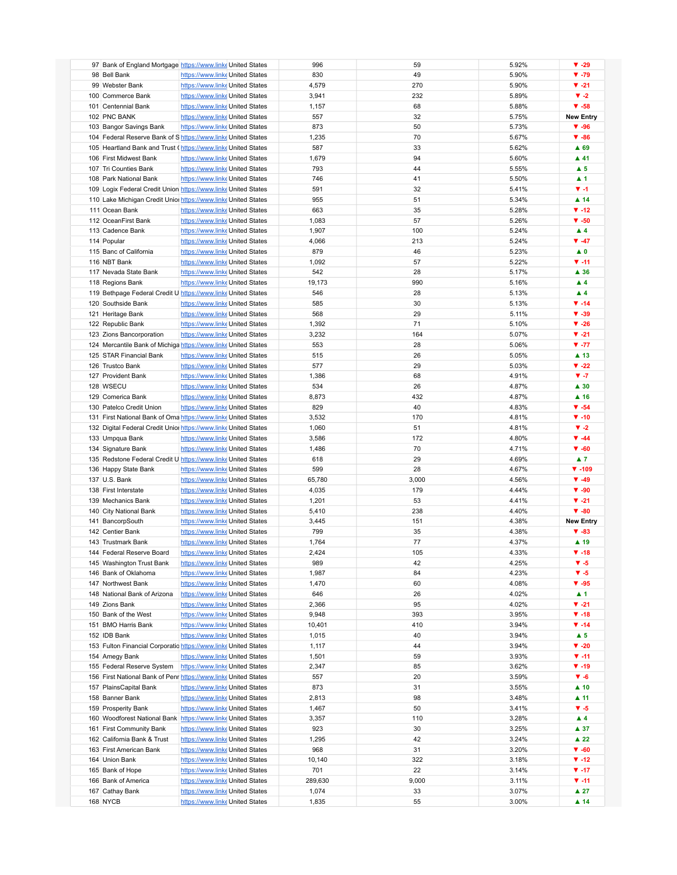| 97 Bank of England Mortgage https://www.linke United States      |                                 | 996          | 59    | 5.92%        | $\Psi - 29$              |
|------------------------------------------------------------------|---------------------------------|--------------|-------|--------------|--------------------------|
| 98 Bell Bank                                                     | https://www.linke United States | 830          | 49    | 5.90%        | $\Psi - 79$              |
| 99 Webster Bank                                                  | https://www.linke United States | 4,579        | 270   | 5.90%        | $\Psi -21$               |
| 100 Commerce Bank                                                | https://www.linke United States | 3,941        | 232   | 5.89%        | $\blacktriangledown -2$  |
| 101 Centennial Bank                                              | https://www.linke United States | 1,157        | 68    | 5.88%        | $\Psi - 58$              |
| 102 PNC BANK                                                     | https://www.linke United States | 557          | 32    | 5.75%        | <b>New Entry</b>         |
| 103 Bangor Savings Bank                                          | https://www.linke United States | 873          | 50    | 5.73%        | $\Psi - 96$              |
| 104 Federal Reserve Bank of Shttps://www.linke United States     |                                 | 1,235        | 70    | 5.67%        | $\Psi - 86$              |
| 105 Heartland Bank and Trust (https://www.linke United States    |                                 | 587          | 33    | 5.62%        | ▲ 69                     |
|                                                                  |                                 |              |       |              |                          |
| 106 First Midwest Bank                                           | https://www.linke United States | 1,679        | 94    | 5.60%        | $\blacktriangle$ 41      |
| 107 Tri Counties Bank                                            | https://www.linke United States | 793          | 44    | 5.55%        | $\blacktriangle$ 5       |
| 108 Park National Bank                                           | https://www.linke United States | 746          | 41    | 5.50%        | $\blacktriangle$ 1       |
| 109 Logix Federal Credit Union https://www.linke United States   |                                 | 591          | 32    | 5.41%        | $V - 1$                  |
| 110 Lake Michigan Credit Unior https://www.linke United States   |                                 | 955          | 51    | 5.34%        | $\blacktriangle$ 14      |
| 111 Ocean Bank                                                   | https://www.linke United States | 663          | 35    | 5.28%        | $\P$ -12                 |
| 112 OceanFirst Bank                                              | https://www.linke United States | 1,083        | 57    | 5.26%        | $\Psi - 50$              |
| 113 Cadence Bank                                                 | https://www.linke United States | 1,907        | 100   | 5.24%        | $\blacktriangle$ 4       |
| 114 Popular                                                      | https://www.linke United States | 4,066        | 213   | 5.24%        | $\Psi - 47$              |
| 115 Banc of California                                           | https://www.linke United States | 879          | 46    | 5.23%        | $\blacktriangle$ 0       |
| 116 NBT Bank                                                     | https://www.linke United States | 1,092        | 57    | 5.22%        | $\Psi - 11$              |
| 117 Nevada State Bank                                            | https://www.linke United States | 542          | 28    | 5.17%        | ▲ 36                     |
| 118 Regions Bank                                                 | https://www.linke United States | 19,173       | 990   | 5.16%        | $\blacktriangle$ 4       |
| 119 Bethpage Federal Credit U https://www.linke United States    |                                 | 546          | 28    | 5.13%        | $\blacktriangle$ 4       |
| 120 Southside Bank                                               | https://www.linke United States | 585          | 30    | 5.13%        | $\Psi - 14$              |
| 121 Heritage Bank                                                | https://www.linke United States | 568          | 29    | 5.11%        | $V - 39$                 |
| 122 Republic Bank                                                | https://www.linke United States | 1,392        | 71    | 5.10%        | $\Psi - 26$              |
| 123 Zions Bancorporation                                         | https://www.linke United States | 3,232        | 164   | 5.07%        | $V - 21$                 |
| 124 Mercantile Bank of Michiga https://www.linke United States   |                                 | 553          | 28    | 5.06%        | $\Psi - 77$              |
| 125 STAR Financial Bank                                          | https://www.linke United States | 515          | 26    | 5.05%        | $\blacktriangle$ 13      |
|                                                                  |                                 |              |       |              |                          |
| 126 Trustco Bank                                                 | https://www.linke United States | 577          | 29    | 5.03%        | $\blacktriangledown$ -22 |
| 127 Provident Bank                                               | https://www.linke United States | 1,386        | 68    | 4.91%        | $V - 7$                  |
| 128 WSECU                                                        | https://www.linke United States | 534          | 26    | 4.87%        | $\blacktriangle$ 30      |
| 129 Comerica Bank                                                | https://www.linke United States | 8,873        | 432   | 4.87%        | $\blacktriangle$ 16      |
| 130 Patelco Credit Union                                         | https://www.linke United States | 829          | 40    | 4.83%        | $\Psi - 54$              |
| 131 First National Bank of Oma https://www.linke United States   |                                 | 3,532        | 170   | 4.81%        | $\Psi - 10$              |
| 132 Digital Federal Credit Unior https://www.linke United States |                                 | 1,060        | 51    | 4.81%        | $\blacktriangledown -2$  |
| 133 Umpqua Bank                                                  | https://www.linke United States | 3,586        | 172   | 4.80%        | $\Psi - 44$              |
| 134 Signature Bank                                               | https://www.linke United States | 1,486        | 70    | 4.71%        | $\Psi - 60$              |
| 135 Redstone Federal Credit U https://www.linke United States    |                                 | 618          | 29    | 4.69%        | $\blacktriangle$ 7       |
| 136 Happy State Bank                                             | https://www.linke United States | 599          | 28    | 4.67%        | $\Psi - 109$             |
| 137 U.S. Bank                                                    | https://www.linke United States | 65,780       | 3,000 | 4.56%        | $\Psi - 49$              |
| 138 First Interstate                                             | https://www.linke United States | 4,035        | 179   | 4.44%        | $\Psi - 90$              |
| 139 Mechanics Bank                                               | https://www.linke United States | 1,201        | 53    | 4.41%        |                          |
|                                                                  |                                 |              |       |              | $V - 21$                 |
| 140 City National Bank                                           | https://www.linke United States | 5,410        |       | 238<br>4.40% | $\Psi - 80$              |
|                                                                  | https://www.linke United States |              | 151   | 4.38%        | <b>New Entry</b>         |
| 141 BancorpSouth<br>142 Centier Bank                             | https://www.linke United States | 3,445<br>799 | 35    | 4.38%        | $\Psi - 83$              |
| 143 Trustmark Bank                                               | https://www.linke United States | 1,764        | 77    | 4.37%        | ▲ 19                     |
|                                                                  |                                 |              |       |              |                          |
| 144 Federal Reserve Board                                        | https://www.linke United States | 2,424        | 105   | 4.33%        | $\Psi - 18$              |
| 145 Washington Trust Bank                                        | https://www.linke United States | 989          | 42    | 4.25%        | $\Psi - 5$               |
| 146 Bank of Oklahoma                                             | https://www.linke United States | 1,987        | 84    | 4.23%        | $V - 5$                  |
| 147 Northwest Bank                                               | https://www.linke United States | 1,470        | 60    | 4.08%        | $\Psi - 95$              |
| 148 National Bank of Arizona                                     | https://www.linke United States | 646          | 26    | 4.02%        | ▲ 1                      |
| 149 Zions Bank                                                   | https://www.linke United States | 2,366        | 95    | 4.02%        | $\Psi -21$               |
| 150 Bank of the West                                             | https://www.linke United States | 9,948        | 393   | 3.95%        | $\Psi - 18$              |
| 151 BMO Harris Bank                                              | https://www.linke United States | 10,401       | 410   | 3.94%        | $\P$ -14                 |
| 152 IDB Bank                                                     | https://www.linke United States | 1,015        | 40    | 3.94%        | $\blacktriangle$ 5       |
| 153 Fulton Financial Corporatio https://www.linke United States  |                                 | 1,117        | 44    | 3.94%        | $\blacktriangledown$ -20 |
| 154 Amegy Bank                                                   | https://www.linke United States | 1,501        | 59    | 3.93%        | $V - 11$                 |
| 155 Federal Reserve System                                       | https://www.linke United States | 2,347        | 85    | 3.62%        | $\Psi - 19$              |
| 156 First National Bank of Penr https://www.linke United States  |                                 | 557          | 20    | 3.59%        | $V - 6$                  |
| 157 PlainsCapital Bank                                           | https://www.linke United States | 873          | 31    | 3.55%        | $\blacktriangle$ 10      |
| 158 Banner Bank                                                  | https://www.linke United States | 2,813        | 98    | 3.48%        | $\blacktriangle$ 11      |
| 159 Prosperity Bank                                              | https://www.linke United States | 1,467        | 50    | 3.41%        | $V - 5$                  |
| 160 Woodforest National Bank https://www.linke United States     |                                 | 3,357        | 110   | 3.28%        | $\blacktriangle$ 4       |
| 161 First Community Bank                                         | https://www.linke United States | 923          | 30    | 3.25%        | ▲ 37                     |
| 162 California Bank & Trust                                      | https://www.linke United States | 1,295        | 42    | 3.24%        | $\blacktriangle$ 22      |
| 163 First American Bank                                          | https://www.linke United States | 968          | 31    | 3.20%        | $\Psi - 60$              |
| 164 Union Bank                                                   | https://www.linke United States | 10,140       | 322   | 3.18%        | $\P$ -12                 |
| 165 Bank of Hope                                                 | https://www.linke United States | 701          | 22    | 3.14%        | $\Psi - 17$              |
| 166 Bank of America                                              | https://www.linke United States | 289,630      | 9,000 | 3.11%        | $V - 11$                 |
| 167 Cathay Bank                                                  | https://www.linke United States | 1,074        | 33    | 3.07%        | $\blacktriangle$ 27      |